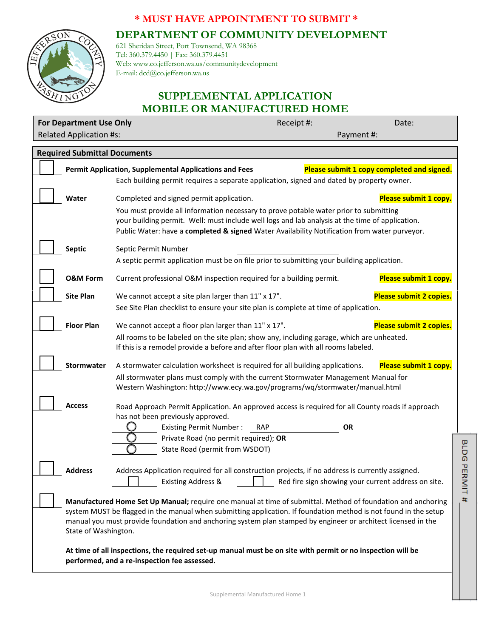## **\* MUST HAVE APPOINTMENT TO SUBMIT \***

**DEPARTMENT OF COMMUNITY DEVELOPMENT**



621 Sheridan Street, Port Townsend, WA 98368 Tel: 360.379.4450 | Fax: 360.379.4451 Web: www.co.jefferson.wa.us/communitydevelopment E-mail: dcd@co.jefferson.wa.us

## **SUPPLEMENTAL APPLICATION MOBILE OR MANUFACTURED HOME**

| <b>For Department Use Only</b>                                                                                                                                                                                                    |                                                                                                                                                                                                 | Receipt #: | Date:                                               |  |  |
|-----------------------------------------------------------------------------------------------------------------------------------------------------------------------------------------------------------------------------------|-------------------------------------------------------------------------------------------------------------------------------------------------------------------------------------------------|------------|-----------------------------------------------------|--|--|
| <b>Related Application #s:</b>                                                                                                                                                                                                    |                                                                                                                                                                                                 |            | Payment #:                                          |  |  |
| <b>Required Submittal Documents</b>                                                                                                                                                                                               |                                                                                                                                                                                                 |            |                                                     |  |  |
| Please submit 1 copy completed and signed.<br><b>Permit Application, Supplemental Applications and Fees</b>                                                                                                                       |                                                                                                                                                                                                 |            |                                                     |  |  |
|                                                                                                                                                                                                                                   | Each building permit requires a separate application, signed and dated by property owner.                                                                                                       |            |                                                     |  |  |
| Water                                                                                                                                                                                                                             | Completed and signed permit application.                                                                                                                                                        |            | Please submit 1 copy.                               |  |  |
|                                                                                                                                                                                                                                   | You must provide all information necessary to prove potable water prior to submitting                                                                                                           |            |                                                     |  |  |
|                                                                                                                                                                                                                                   | your building permit. Well: must include well logs and lab analysis at the time of application.<br>Public Water: have a completed & signed Water Availability Notification from water purveyor. |            |                                                     |  |  |
| <b>Septic</b>                                                                                                                                                                                                                     | Septic Permit Number                                                                                                                                                                            |            |                                                     |  |  |
|                                                                                                                                                                                                                                   | A septic permit application must be on file prior to submitting your building application.                                                                                                      |            |                                                     |  |  |
| <b>O&amp;M Form</b>                                                                                                                                                                                                               | Current professional O&M inspection required for a building permit.                                                                                                                             |            | Please submit 1 copy.                               |  |  |
| <b>Site Plan</b>                                                                                                                                                                                                                  | We cannot accept a site plan larger than 11" x 17".                                                                                                                                             |            | Please submit 2 copies.                             |  |  |
|                                                                                                                                                                                                                                   | See Site Plan checklist to ensure your site plan is complete at time of application.                                                                                                            |            |                                                     |  |  |
| <b>Floor Plan</b>                                                                                                                                                                                                                 | We cannot accept a floor plan larger than 11" x 17".                                                                                                                                            |            | Please submit 2 copies.                             |  |  |
|                                                                                                                                                                                                                                   | All rooms to be labeled on the site plan; show any, including garage, which are unheated.                                                                                                       |            |                                                     |  |  |
|                                                                                                                                                                                                                                   | If this is a remodel provide a before and after floor plan with all rooms labeled.                                                                                                              |            |                                                     |  |  |
| <b>Stormwater</b>                                                                                                                                                                                                                 | A stormwater calculation worksheet is required for all building applications.                                                                                                                   |            | Please submit 1 copy.                               |  |  |
|                                                                                                                                                                                                                                   | All stormwater plans must comply with the current Stormwater Management Manual for<br>Western Washington: http://www.ecy.wa.gov/programs/wq/stormwater/manual.html                              |            |                                                     |  |  |
| Access                                                                                                                                                                                                                            | Road Approach Permit Application. An approved access is required for all County roads if approach                                                                                               |            |                                                     |  |  |
|                                                                                                                                                                                                                                   | has not been previously approved.                                                                                                                                                               |            |                                                     |  |  |
|                                                                                                                                                                                                                                   | <b>Existing Permit Number:</b>                                                                                                                                                                  | <b>RAP</b> | ΟR                                                  |  |  |
|                                                                                                                                                                                                                                   | Private Road (no permit required); OR<br>State Road (permit from WSDOT)                                                                                                                         |            |                                                     |  |  |
|                                                                                                                                                                                                                                   |                                                                                                                                                                                                 |            |                                                     |  |  |
| <b>Address</b>                                                                                                                                                                                                                    | Address Application required for all construction projects, if no address is currently assigned.                                                                                                |            |                                                     |  |  |
|                                                                                                                                                                                                                                   | <b>Existing Address &amp;</b>                                                                                                                                                                   |            | Red fire sign showing your current address on site. |  |  |
| Manufactured Home Set Up Manual; require one manual at time of submittal. Method of foundation and anchoring                                                                                                                      |                                                                                                                                                                                                 |            |                                                     |  |  |
| system MUST be flagged in the manual when submitting application. If foundation method is not found in the setup<br>manual you must provide foundation and anchoring system plan stamped by engineer or architect licensed in the |                                                                                                                                                                                                 |            |                                                     |  |  |
| State of Washington.                                                                                                                                                                                                              |                                                                                                                                                                                                 |            |                                                     |  |  |
| At time of all inspections, the required set-up manual must be on site with permit or no inspection will be                                                                                                                       |                                                                                                                                                                                                 |            |                                                     |  |  |
| performed, and a re-inspection fee assessed.                                                                                                                                                                                      |                                                                                                                                                                                                 |            |                                                     |  |  |

BLDG PERMIT #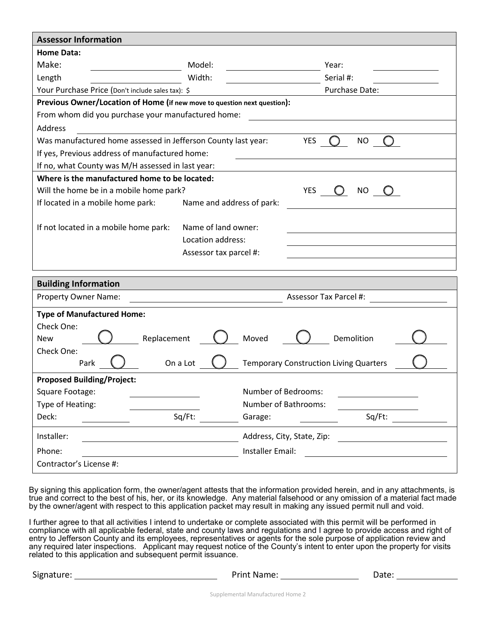| <b>Assessor Information</b>                                                       |                                                                                |  |  |  |
|-----------------------------------------------------------------------------------|--------------------------------------------------------------------------------|--|--|--|
| <b>Home Data:</b>                                                                 |                                                                                |  |  |  |
| Make:<br>Model:                                                                   | Year:                                                                          |  |  |  |
| Width:<br>Length                                                                  | Serial #:                                                                      |  |  |  |
| Your Purchase Price (Don't include sales tax): \$                                 | Purchase Date:                                                                 |  |  |  |
| Previous Owner/Location of Home (if new move to question next question):          |                                                                                |  |  |  |
| From whom did you purchase your manufactured home:                                |                                                                                |  |  |  |
| Address                                                                           |                                                                                |  |  |  |
| Was manufactured home assessed in Jefferson County last year:                     | <b>YES</b><br>NO <sub>1</sub><br>$\left( \begin{array}{c} \end{array} \right)$ |  |  |  |
| If yes, Previous address of manufactured home:                                    |                                                                                |  |  |  |
| If no, what County was M/H assessed in last year:                                 |                                                                                |  |  |  |
| Where is the manufactured home to be located:                                     |                                                                                |  |  |  |
| Will the home be in a mobile home park?                                           | <b>YES</b><br>NO                                                               |  |  |  |
| If located in a mobile home park:<br>Name and address of park:                    |                                                                                |  |  |  |
|                                                                                   |                                                                                |  |  |  |
| Name of land owner:<br>If not located in a mobile home park:                      |                                                                                |  |  |  |
| Location address:                                                                 |                                                                                |  |  |  |
| Assessor tax parcel #:                                                            |                                                                                |  |  |  |
|                                                                                   |                                                                                |  |  |  |
| <b>Building Information</b>                                                       |                                                                                |  |  |  |
| Property Owner Name:<br><u> 1989 - Johann Barbara, martin amerikan personal (</u> | Assessor Tax Parcel #:                                                         |  |  |  |
| <b>Type of Manufactured Home:</b>                                                 |                                                                                |  |  |  |
| Check One:                                                                        |                                                                                |  |  |  |
| Replacement<br><b>New</b>                                                         | Moved<br>Demolition                                                            |  |  |  |
| Check One:                                                                        |                                                                                |  |  |  |
| On a Lot<br>Park                                                                  | <b>Temporary Construction Living Quarters</b>                                  |  |  |  |
| <b>Proposed Building/Project:</b>                                                 |                                                                                |  |  |  |
| Square Footage:                                                                   | Number of Bedrooms:                                                            |  |  |  |
| Type of Heating:                                                                  | Number of Bathrooms:                                                           |  |  |  |
| Sq/Ft:<br>Deck:                                                                   | Sq/Ft:<br>Garage:                                                              |  |  |  |
| Installer:                                                                        | Address, City, State, Zip:                                                     |  |  |  |
| Phone:                                                                            | Installer Email:                                                               |  |  |  |
| Contractor's License #:                                                           |                                                                                |  |  |  |
|                                                                                   |                                                                                |  |  |  |

By signing this application form, the owner/agent attests that the information provided herein, and in any attachments, is true and correct to the best of his, her, or its knowledge. Any material falsehood or any omission of a material fact made by the owner/agent with respect to this application packet may result in making any issued permit null and void.

I further agree to that all activities I intend to undertake or complete associated with this permit will be performed in compliance with all applicable federal, state and county laws and regulations and I agree to provide access and right of entry to Jefferson County and its employees, representatives or agents for the sole purpose of application review and any required later inspections. Applicant may request notice of the County's intent to enter upon the property for visits related to this application and subsequent permit issuance.

| Signature: | Print Name: | Date: |
|------------|-------------|-------|
|            |             |       |